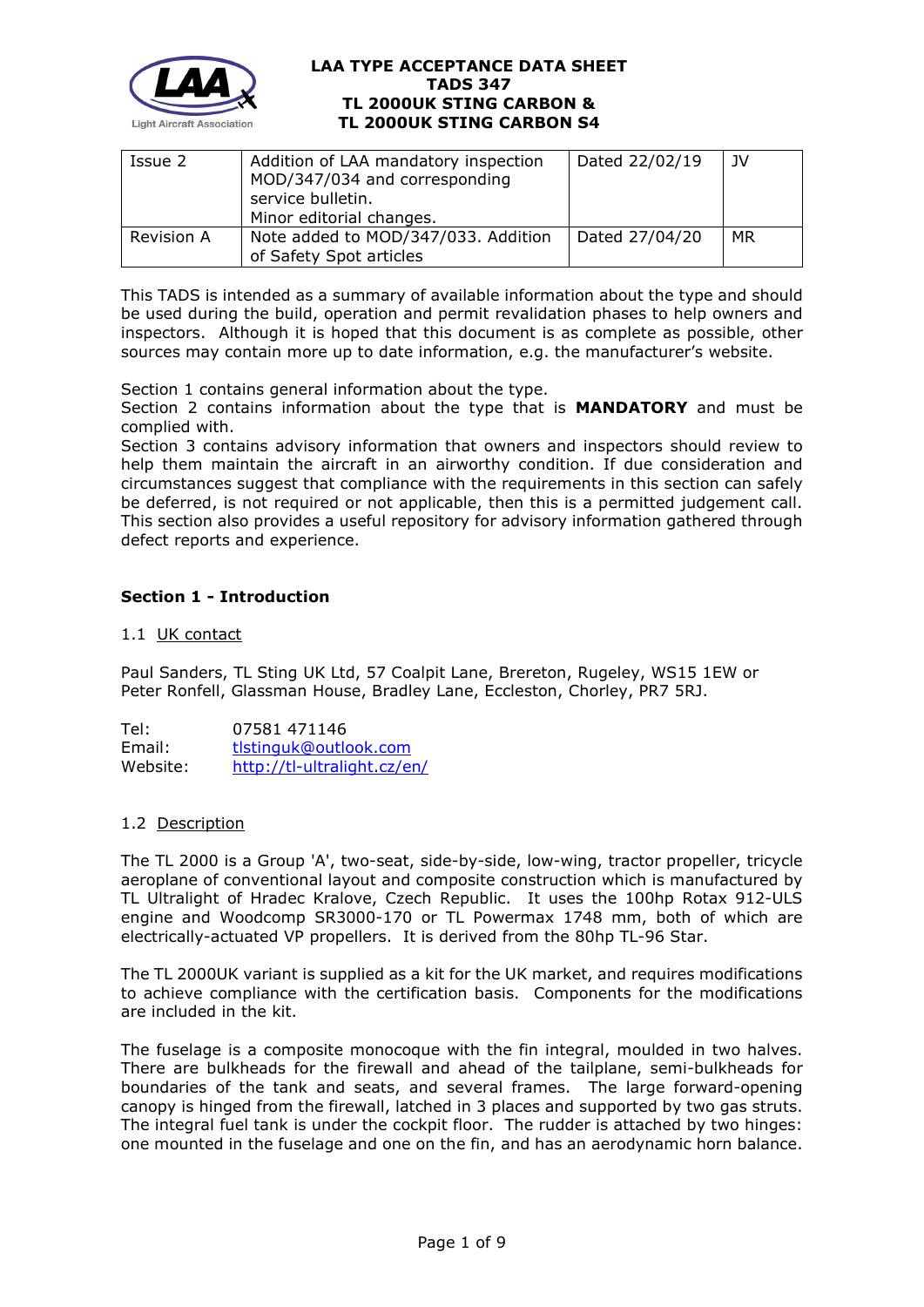

| Issue 2           | Addition of LAA mandatory inspection<br>MOD/347/034 and corresponding<br>service bulletin.<br>Minor editorial changes. | Dated 22/02/19 | JV |
|-------------------|------------------------------------------------------------------------------------------------------------------------|----------------|----|
| <b>Revision A</b> | Note added to MOD/347/033. Addition<br>of Safety Spot articles                                                         | Dated 27/04/20 | MR |

This TADS is intended as a summary of available information about the type and should be used during the build, operation and permit revalidation phases to help owners and inspectors. Although it is hoped that this document is as complete as possible, other sources may contain more up to date information, e.g. the manufacturer's website.

Section 1 contains general information about the type.

Section 2 contains information about the type that is **MANDATORY** and must be complied with.

Section 3 contains advisory information that owners and inspectors should review to help them maintain the aircraft in an airworthy condition. If due consideration and circumstances suggest that compliance with the requirements in this section can safely be deferred, is not required or not applicable, then this is a permitted judgement call. This section also provides a useful repository for advisory information gathered through defect reports and experience.

# **Section 1 - Introduction**

## 1.1 UK contact

Paul Sanders, TL Sting UK Ltd, 57 Coalpit Lane, Brereton, Rugeley, WS15 1EW or Peter Ronfell, Glassman House, Bradley Lane, Eccleston, Chorley, PR7 5RJ.

Tel: 07581 471146 Email: [tlstinguk@outlook.com](mailto:tlstinguk@outlook.com) Website: <http://tl-ultralight.cz/en/>

## 1.2 Description

The TL 2000 is a Group 'A', two-seat, side-by-side, low-wing, tractor propeller, tricycle aeroplane of conventional layout and composite construction which is manufactured by TL Ultralight of Hradec Kralove, Czech Republic. It uses the 100hp Rotax 912-ULS engine and Woodcomp SR3000-170 or TL Powermax 1748 mm, both of which are electrically-actuated VP propellers. It is derived from the 80hp TL-96 Star.

The TL 2000UK variant is supplied as a kit for the UK market, and requires modifications to achieve compliance with the certification basis. Components for the modifications are included in the kit.

The fuselage is a composite monocoque with the fin integral, moulded in two halves. There are bulkheads for the firewall and ahead of the tailplane, semi-bulkheads for boundaries of the tank and seats, and several frames. The large forward-opening canopy is hinged from the firewall, latched in 3 places and supported by two gas struts. The integral fuel tank is under the cockpit floor. The rudder is attached by two hinges: one mounted in the fuselage and one on the fin, and has an aerodynamic horn balance.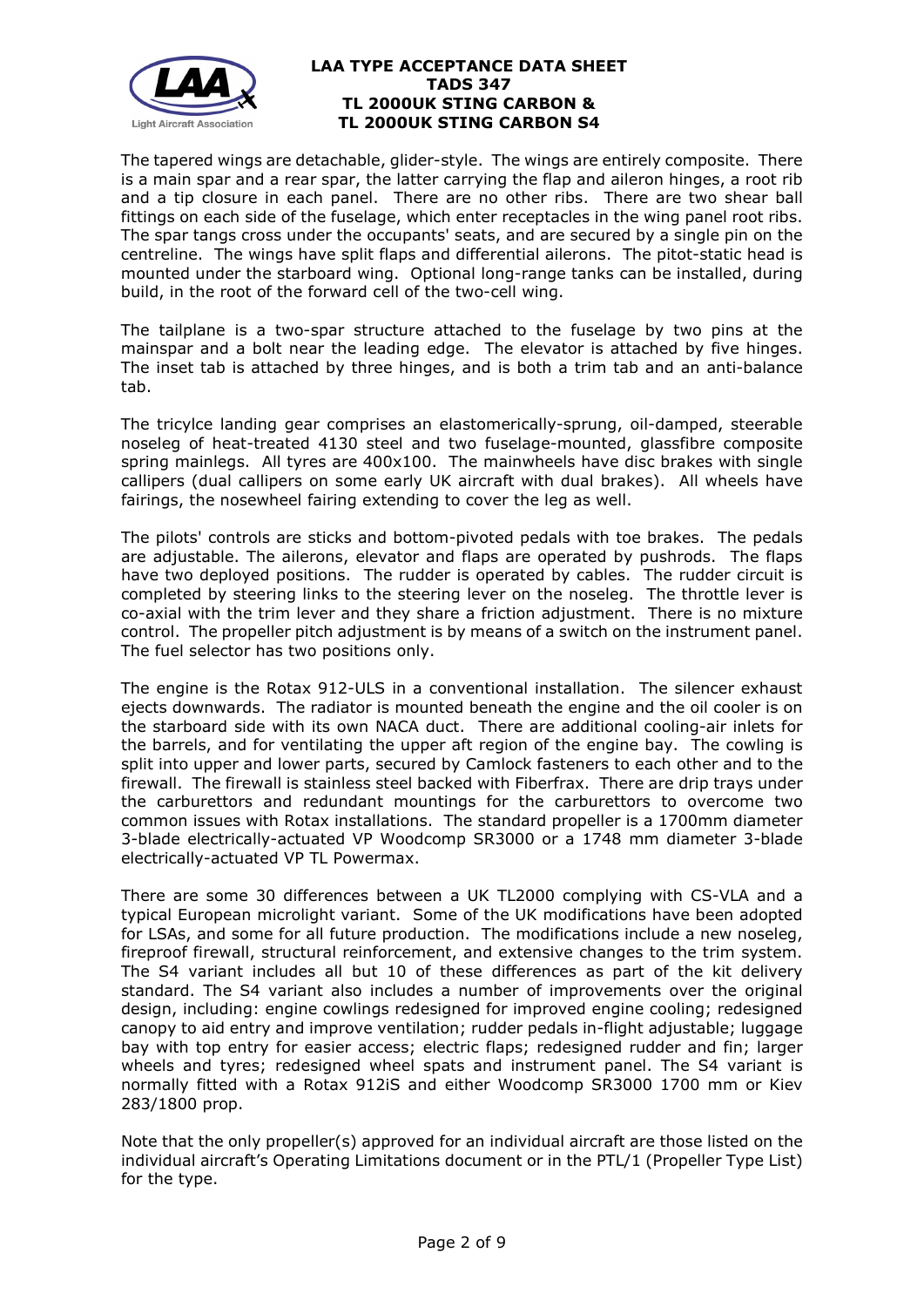

The tapered wings are detachable, glider-style. The wings are entirely composite. There is a main spar and a rear spar, the latter carrying the flap and aileron hinges, a root rib and a tip closure in each panel. There are no other ribs. There are two shear ball fittings on each side of the fuselage, which enter receptacles in the wing panel root ribs. The spar tangs cross under the occupants' seats, and are secured by a single pin on the centreline. The wings have split flaps and differential ailerons. The pitot-static head is mounted under the starboard wing. Optional long-range tanks can be installed, during build, in the root of the forward cell of the two-cell wing.

The tailplane is a two-spar structure attached to the fuselage by two pins at the mainspar and a bolt near the leading edge. The elevator is attached by five hinges. The inset tab is attached by three hinges, and is both a trim tab and an anti-balance tab.

The tricylce landing gear comprises an elastomerically-sprung, oil-damped, steerable noseleg of heat-treated 4130 steel and two fuselage-mounted, glassfibre composite spring mainlegs. All tyres are 400x100. The mainwheels have disc brakes with single callipers (dual callipers on some early UK aircraft with dual brakes). All wheels have fairings, the nosewheel fairing extending to cover the leg as well.

The pilots' controls are sticks and bottom-pivoted pedals with toe brakes. The pedals are adjustable. The ailerons, elevator and flaps are operated by pushrods. The flaps have two deployed positions. The rudder is operated by cables. The rudder circuit is completed by steering links to the steering lever on the noseleg. The throttle lever is co-axial with the trim lever and they share a friction adjustment. There is no mixture control. The propeller pitch adjustment is by means of a switch on the instrument panel. The fuel selector has two positions only.

The engine is the Rotax 912-ULS in a conventional installation. The silencer exhaust ejects downwards. The radiator is mounted beneath the engine and the oil cooler is on the starboard side with its own NACA duct. There are additional cooling-air inlets for the barrels, and for ventilating the upper aft region of the engine bay. The cowling is split into upper and lower parts, secured by Camlock fasteners to each other and to the firewall. The firewall is stainless steel backed with Fiberfrax. There are drip trays under the carburettors and redundant mountings for the carburettors to overcome two common issues with Rotax installations. The standard propeller is a 1700mm diameter 3-blade electrically-actuated VP Woodcomp SR3000 or a 1748 mm diameter 3-blade electrically-actuated VP TL Powermax.

There are some 30 differences between a UK TL2000 complying with CS-VLA and a typical European microlight variant. Some of the UK modifications have been adopted for LSAs, and some for all future production. The modifications include a new noseleg, fireproof firewall, structural reinforcement, and extensive changes to the trim system. The S4 variant includes all but 10 of these differences as part of the kit delivery standard. The S4 variant also includes a number of improvements over the original design, including: engine cowlings redesigned for improved engine cooling; redesigned canopy to aid entry and improve ventilation; rudder pedals in-flight adjustable; luggage bay with top entry for easier access; electric flaps; redesigned rudder and fin; larger wheels and tyres; redesigned wheel spats and instrument panel. The S4 variant is normally fitted with a Rotax 912iS and either Woodcomp SR3000 1700 mm or Kiev 283/1800 prop.

Note that the only propeller(s) approved for an individual aircraft are those listed on the individual aircraft's Operating Limitations document or in the PTL/1 (Propeller Type List) for the type.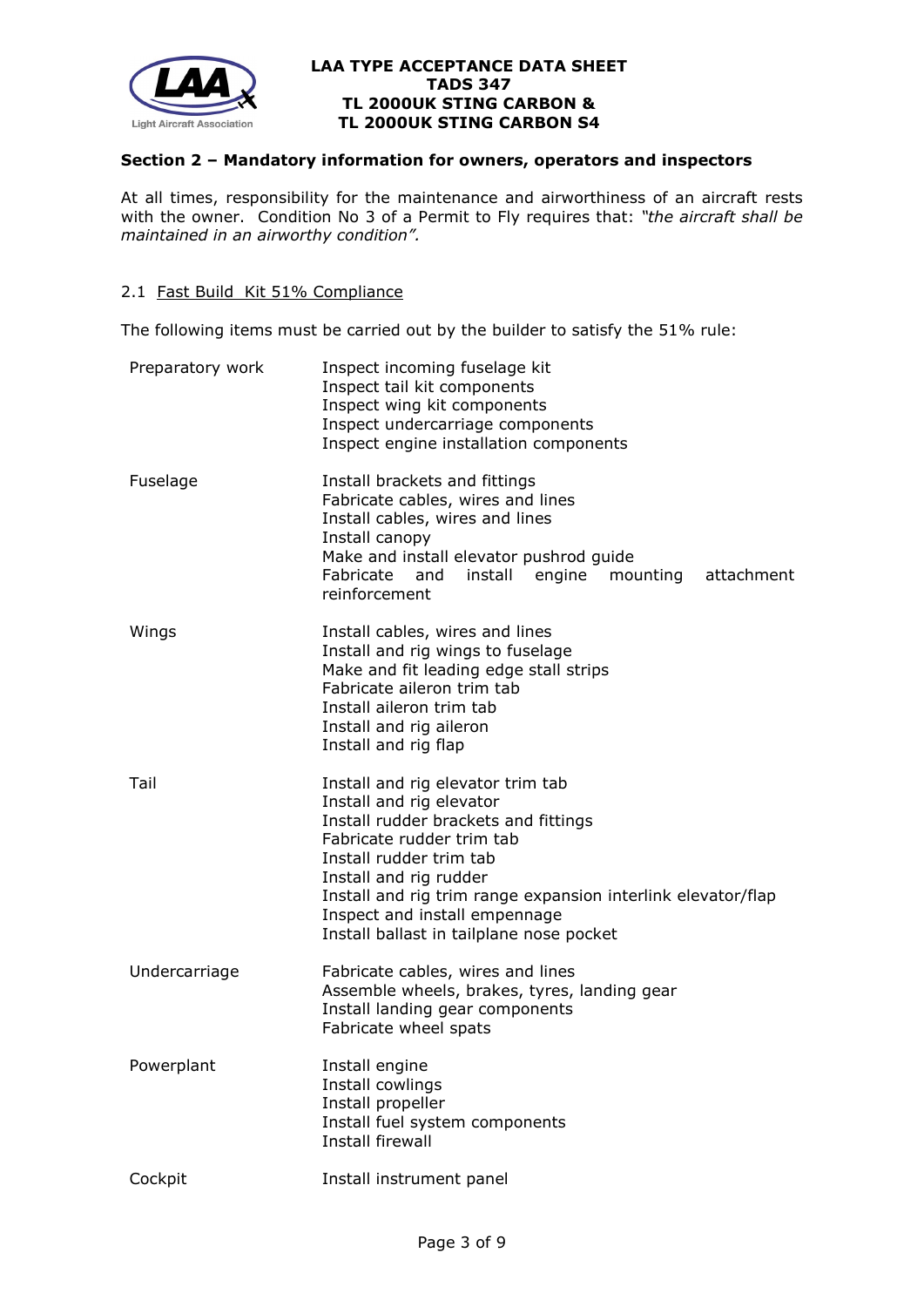

## **Section 2 – Mandatory information for owners, operators and inspectors**

At all times, responsibility for the maintenance and airworthiness of an aircraft rests with the owner. Condition No 3 of a Permit to Fly requires that: *"the aircraft shall be maintained in an airworthy condition".* 

### 2.1 Fast Build Kit 51% Compliance

The following items must be carried out by the builder to satisfy the 51% rule:

| Preparatory work | Inspect incoming fuselage kit<br>Inspect tail kit components<br>Inspect wing kit components<br>Inspect undercarriage components<br>Inspect engine installation components                                                                                                                                                            |
|------------------|--------------------------------------------------------------------------------------------------------------------------------------------------------------------------------------------------------------------------------------------------------------------------------------------------------------------------------------|
| Fuselage         | Install brackets and fittings<br>Fabricate cables, wires and lines<br>Install cables, wires and lines<br>Install canopy<br>Make and install elevator pushrod guide<br>Fabricate and<br>install<br>engine<br>attachment<br>mounting<br>reinforcement                                                                                  |
| Wings            | Install cables, wires and lines<br>Install and rig wings to fuselage<br>Make and fit leading edge stall strips<br>Fabricate aileron trim tab<br>Install aileron trim tab<br>Install and rig aileron<br>Install and rig flap                                                                                                          |
| Tail             | Install and rig elevator trim tab<br>Install and rig elevator<br>Install rudder brackets and fittings<br>Fabricate rudder trim tab<br>Install rudder trim tab<br>Install and rig rudder<br>Install and rig trim range expansion interlink elevator/flap<br>Inspect and install empennage<br>Install ballast in tailplane nose pocket |
| Undercarriage    | Fabricate cables, wires and lines<br>Assemble wheels, brakes, tyres, landing gear<br>Install landing gear components<br>Fabricate wheel spats                                                                                                                                                                                        |
| Powerplant       | Install engine<br>Install cowlings<br>Install propeller<br>Install fuel system components<br>Install firewall                                                                                                                                                                                                                        |
| Cockpit          | Install instrument panel                                                                                                                                                                                                                                                                                                             |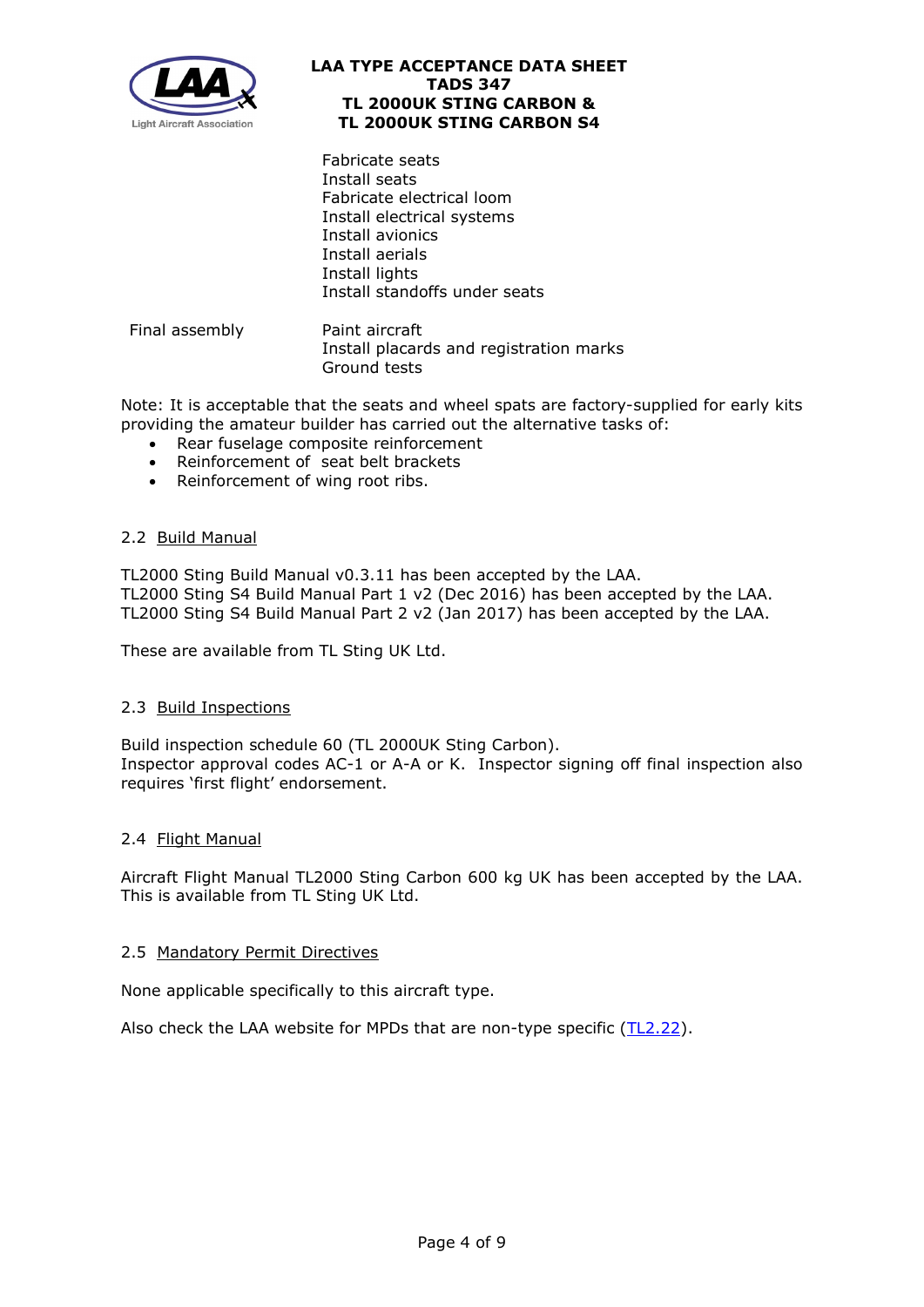

Fabricate seats Install seats Fabricate electrical loom Install electrical systems Install avionics Install aerials Install lights Install standoffs under seats

Final assembly **Paint aircraft** Install placards and registration marks Ground tests

Note: It is acceptable that the seats and wheel spats are factory-supplied for early kits providing the amateur builder has carried out the alternative tasks of:

- Rear fuselage composite reinforcement
- Reinforcement of seat belt brackets
- Reinforcement of wing root ribs.

## 2.2 Build Manual

TL2000 Sting Build Manual v0.3.11 has been accepted by the LAA. TL2000 Sting S4 Build Manual Part 1 v2 (Dec 2016) has been accepted by the LAA. TL2000 Sting S4 Build Manual Part 2 v2 (Jan 2017) has been accepted by the LAA.

These are available from TL Sting UK Ltd.

## 2.3 Build Inspections

Build inspection schedule 60 (TL 2000UK Sting Carbon). Inspector approval codes AC-1 or A-A or K. Inspector signing off final inspection also requires 'first flight' endorsement.

## 2.4 Flight Manual

Aircraft Flight Manual TL2000 Sting Carbon 600 kg UK has been accepted by the LAA. This is available from TL Sting UK Ltd.

## 2.5 Mandatory Permit Directives

None applicable specifically to this aircraft type.

Also check the LAA website for MPDs that are non-type specific [\(TL2.22\)](http://www.lightaircraftassociation.co.uk/engineering/TechnicalLeaflets/Operating%20An%20Aircraft/TL%202.22%20non-type%20specific%20MPDs.pdf).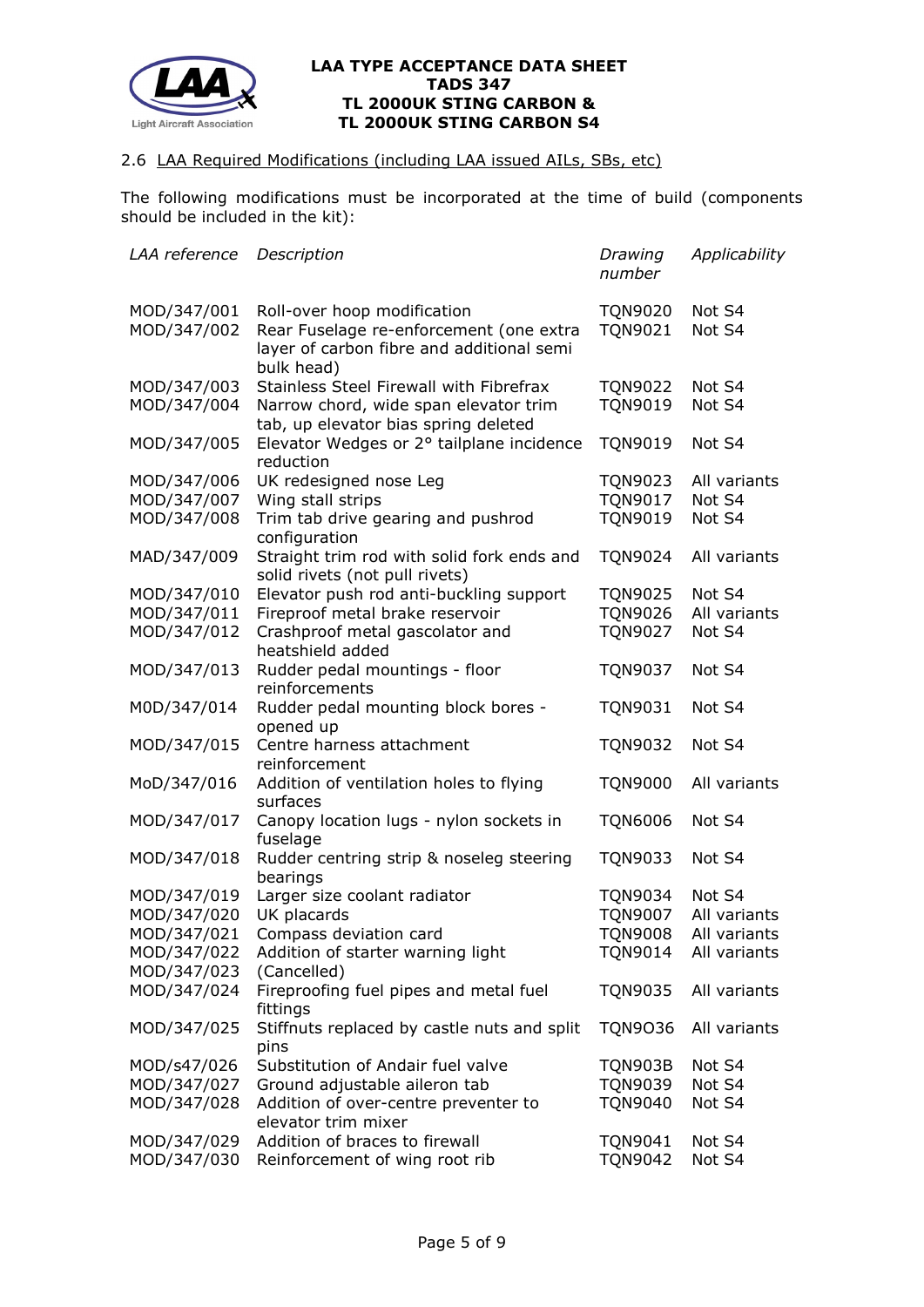

## 2.6 LAA Required Modifications (including LAA issued AILs, SBs, etc)

The following modifications must be incorporated at the time of build (components should be included in the kit):

| LAA reference | Description                                                                                        | Drawing<br>number | Applicability |
|---------------|----------------------------------------------------------------------------------------------------|-------------------|---------------|
| MOD/347/001   | Roll-over hoop modification                                                                        | <b>TQN9020</b>    | Not S4        |
| MOD/347/002   | Rear Fuselage re-enforcement (one extra<br>layer of carbon fibre and additional semi<br>bulk head) | <b>TON9021</b>    | Not S4        |
| MOD/347/003   | Stainless Steel Firewall with Fibrefrax                                                            | <b>TQN9022</b>    | Not S4        |
| MOD/347/004   | Narrow chord, wide span elevator trim<br>tab, up elevator bias spring deleted                      | <b>TQN9019</b>    | Not S4        |
| MOD/347/005   | Elevator Wedges or 2° tailplane incidence<br>reduction                                             | <b>TQN9019</b>    | Not S4        |
| MOD/347/006   | UK redesigned nose Leg                                                                             | <b>TQN9023</b>    | All variants  |
| MOD/347/007   | Wing stall strips                                                                                  | <b>TQN9017</b>    | Not S4        |
| MOD/347/008   | Trim tab drive gearing and pushrod<br>configuration                                                | <b>TQN9019</b>    | Not S4        |
| MAD/347/009   | Straight trim rod with solid fork ends and<br>solid rivets (not pull rivets)                       | <b>TON9024</b>    | All variants  |
| MOD/347/010   | Elevator push rod anti-buckling support                                                            | <b>TQN9025</b>    | Not S4        |
| MOD/347/011   | Fireproof metal brake reservoir                                                                    | <b>TQN9026</b>    | All variants  |
| MOD/347/012   | Crashproof metal gascolator and<br>heatshield added                                                | <b>TQN9027</b>    | Not S4        |
| MOD/347/013   | Rudder pedal mountings - floor<br>reinforcements                                                   | <b>TQN9037</b>    | Not S4        |
| M0D/347/014   | Rudder pedal mounting block bores -<br>opened up                                                   | <b>TQN9031</b>    | Not S4        |
| MOD/347/015   | Centre harness attachment<br>reinforcement                                                         | <b>TQN9032</b>    | Not S4        |
| MoD/347/016   | Addition of ventilation holes to flying<br>surfaces                                                | <b>TQN9000</b>    | All variants  |
| MOD/347/017   | Canopy location lugs - nylon sockets in<br>fuselage                                                | <b>TQN6006</b>    | Not S4        |
| MOD/347/018   | Rudder centring strip & noseleg steering<br>bearings                                               | TQN9033           | Not S4        |
| MOD/347/019   | Larger size coolant radiator                                                                       | TQN9034           | Not S4        |
| MOD/347/020   | UK placards                                                                                        | <b>TQN9007</b>    | All variants  |
| MOD/347/021   | Compass deviation card                                                                             | <b>TQN9008</b>    | All variants  |
| MOD/347/022   | Addition of starter warning light                                                                  | <b>TQN9014</b>    | All variants  |
| MOD/347/023   | (Cancelled)                                                                                        |                   |               |
| MOD/347/024   | Fireproofing fuel pipes and metal fuel<br>fittings                                                 | <b>TQN9035</b>    | All variants  |
| MOD/347/025   | Stiffnuts replaced by castle nuts and split<br>pins                                                | <b>TQN9036</b>    | All variants  |
| MOD/s47/026   | Substitution of Andair fuel valve                                                                  | <b>TQN903B</b>    | Not S4        |
| MOD/347/027   | Ground adjustable aileron tab                                                                      | <b>TQN9039</b>    | Not S4        |
| MOD/347/028   | Addition of over-centre preventer to<br>elevator trim mixer                                        | <b>TQN9040</b>    | Not S4        |
| MOD/347/029   | Addition of braces to firewall                                                                     | <b>TQN9041</b>    | Not S4        |
| MOD/347/030   | Reinforcement of wing root rib                                                                     | <b>TQN9042</b>    | Not S4        |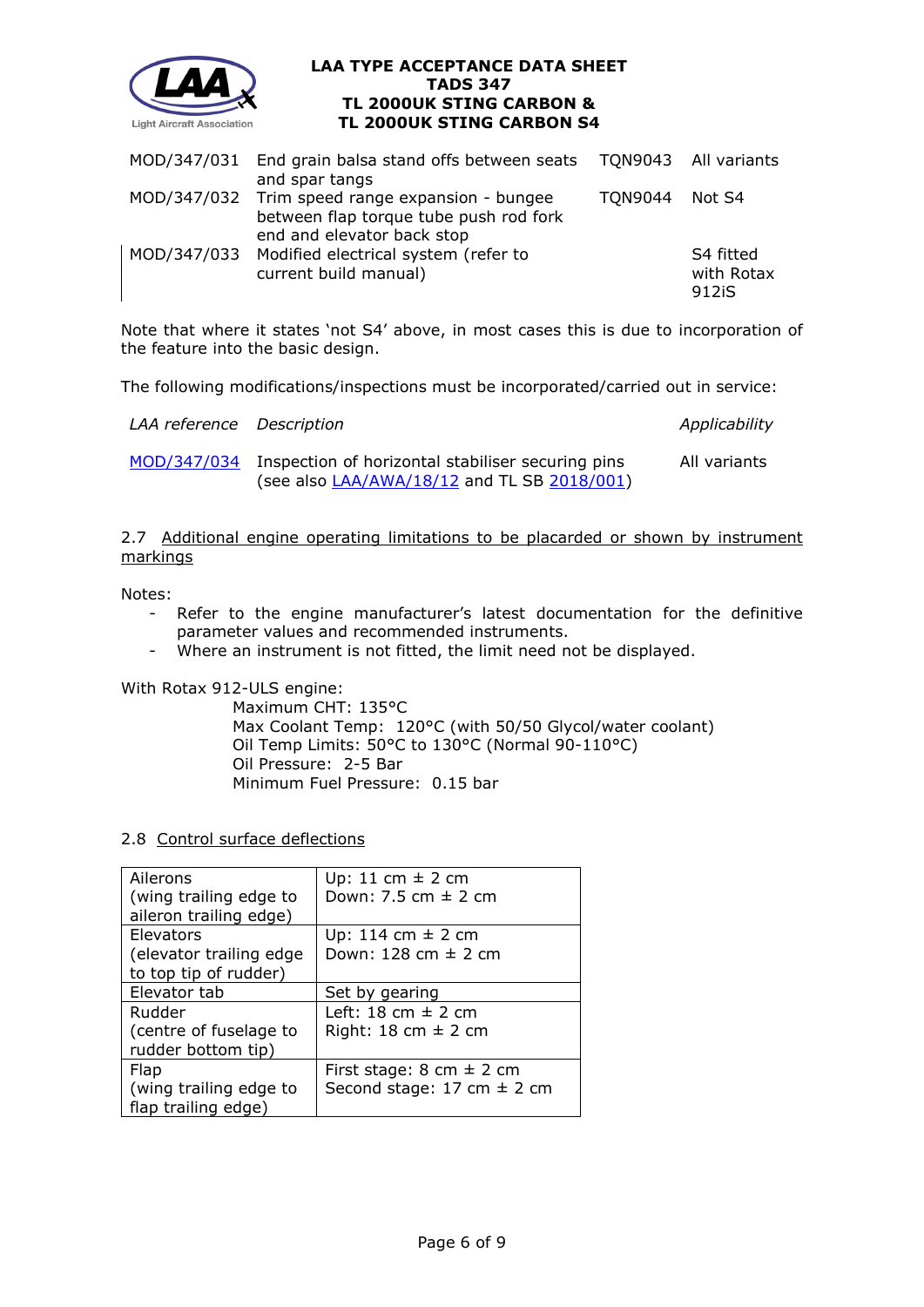

|  | MOD/347/031 End grain balsa stand offs between seats TQN9043 All variants                 |                |                    |
|--|-------------------------------------------------------------------------------------------|----------------|--------------------|
|  | and spar tangs                                                                            |                |                    |
|  | MOD/347/032 Trim speed range expansion - bungee<br>between flap torque tube push rod fork | TON9044 Not S4 |                    |
|  | end and elevator back stop                                                                |                |                    |
|  | MOD/347/033 Modified electrical system (refer to                                          |                | S4 fitted          |
|  | current build manual)                                                                     |                | with Rotax         |
|  |                                                                                           |                | 912 <sub>i</sub> S |

Note that where it states 'not S4' above, in most cases this is due to incorporation of the feature into the basic design.

The following modifications/inspections must be incorporated/carried out in service:

| LAA reference Description |                                                                                                              | Applicability |
|---------------------------|--------------------------------------------------------------------------------------------------------------|---------------|
|                           | MOD/347/034 Inspection of horizontal stabiliser securing pins<br>(see also LAA/AWA/18/12 and TL SB 2018/001) | All variants  |

2.7 Additional engine operating limitations to be placarded or shown by instrument markings

Notes:

- Refer to the engine manufacturer's latest documentation for the definitive parameter values and recommended instruments.
- Where an instrument is not fitted, the limit need not be displayed.

With Rotax 912-ULS engine:

Maximum CHT: 135°C Max Coolant Temp: 120°C (with 50/50 Glycol/water coolant) Oil Temp Limits: 50°C to 130°C (Normal 90-110°C) Oil Pressure: 2-5 Bar Minimum Fuel Pressure: 0.15 bar

2.8 Control surface deflections

| Ailerons                | Up: 11 cm $\pm$ 2 cm                           |
|-------------------------|------------------------------------------------|
| (wing trailing edge to  | Down: 7.5 cm $\pm$ 2 cm                        |
| aileron trailing edge)  |                                                |
| Elevators               | Up: 114 cm $\pm$ 2 cm                          |
| (elevator trailing edge | Down: 128 cm $\pm$ 2 cm                        |
| to top tip of rudder)   |                                                |
| Elevator tab            | Set by gearing                                 |
| Rudder                  | Left: $18 \text{ cm} \pm 2 \text{ cm}$         |
| (centre of fuselage to  | Right: $18 \text{ cm } \pm 2 \text{ cm}$       |
| rudder bottom tip)      |                                                |
| Flap                    | First stage: 8 cm $\pm$ 2 cm                   |
| (wing trailing edge to  | Second stage: $17 \text{ cm} \pm 2 \text{ cm}$ |
| flap trailing edge)     |                                                |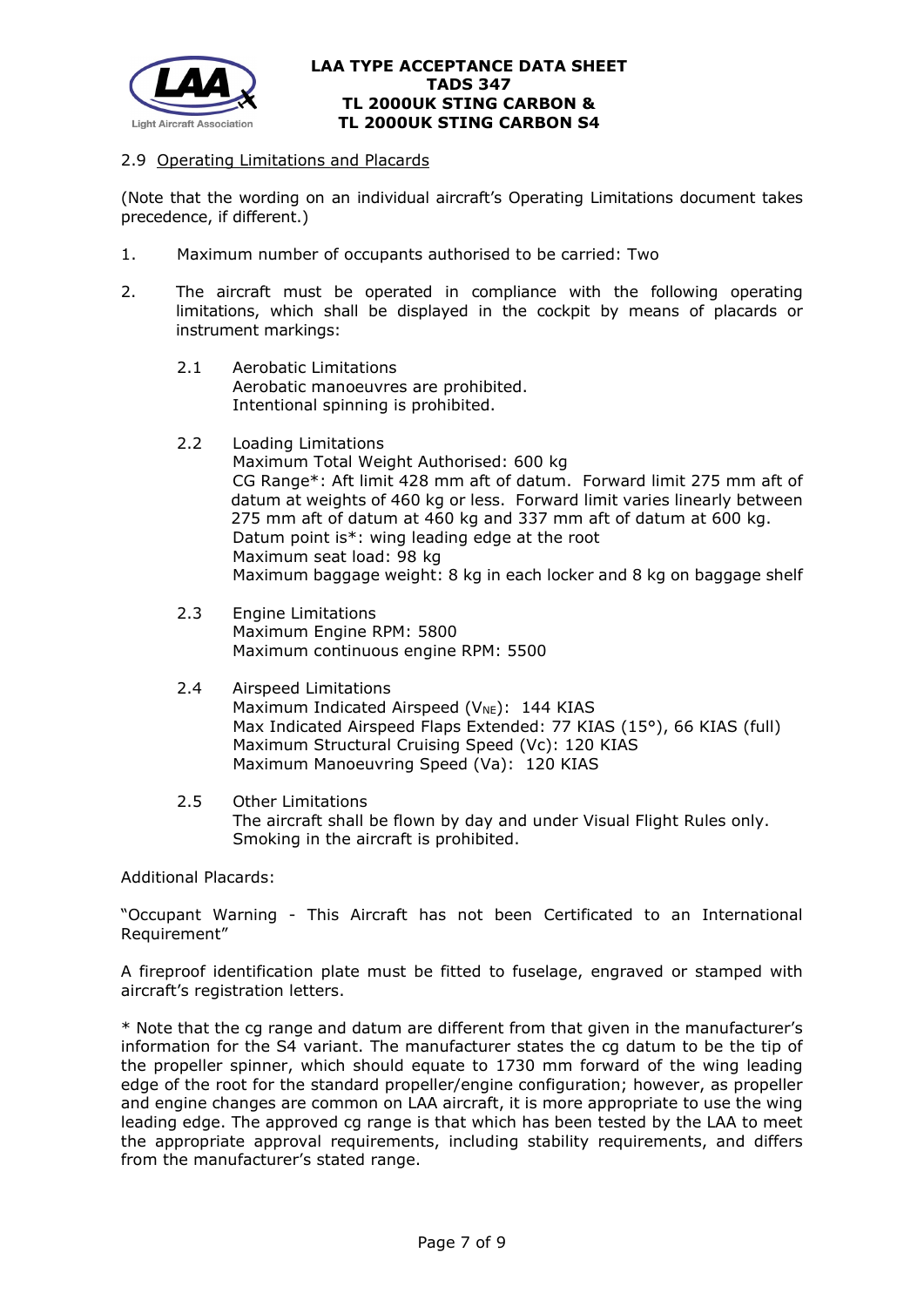

## 2.9 Operating Limitations and Placards

(Note that the wording on an individual aircraft's Operating Limitations document takes precedence, if different.)

- 1. Maximum number of occupants authorised to be carried: Two
- 2. The aircraft must be operated in compliance with the following operating limitations, which shall be displayed in the cockpit by means of placards or instrument markings:
	- 2.1 Aerobatic Limitations Aerobatic manoeuvres are prohibited. Intentional spinning is prohibited.
	- 2.2 Loading Limitations

Maximum Total Weight Authorised: 600 kg CG Range\*: Aft limit 428 mm aft of datum. Forward limit 275 mm aft of datum at weights of 460 kg or less. Forward limit varies linearly between 275 mm aft of datum at 460 kg and 337 mm aft of datum at 600 kg. Datum point is\*: wing leading edge at the root Maximum seat load: 98 kg Maximum baggage weight: 8 kg in each locker and 8 kg on baggage shelf

- 2.3 Engine Limitations Maximum Engine RPM: 5800 Maximum continuous engine RPM: 5500
- 2.4 Airspeed Limitations Maximum Indicated Airspeed ( $V_{NE}$ ): 144 KIAS Max Indicated Airspeed Flaps Extended: 77 KIAS (15°), 66 KIAS (full) Maximum Structural Cruising Speed (Vc): 120 KIAS Maximum Manoeuvring Speed (Va): 120 KIAS
- 2.5 Other Limitations The aircraft shall be flown by day and under Visual Flight Rules only. Smoking in the aircraft is prohibited.

Additional Placards:

"Occupant Warning - This Aircraft has not been Certificated to an International Requirement"

A fireproof identification plate must be fitted to fuselage, engraved or stamped with aircraft's registration letters.

\* Note that the cg range and datum are different from that given in the manufacturer's information for the S4 variant. The manufacturer states the cg datum to be the tip of the propeller spinner, which should equate to 1730 mm forward of the wing leading edge of the root for the standard propeller/engine configuration; however, as propeller and engine changes are common on LAA aircraft, it is more appropriate to use the wing leading edge. The approved cg range is that which has been tested by the LAA to meet the appropriate approval requirements, including stability requirements, and differs from the manufacturer's stated range.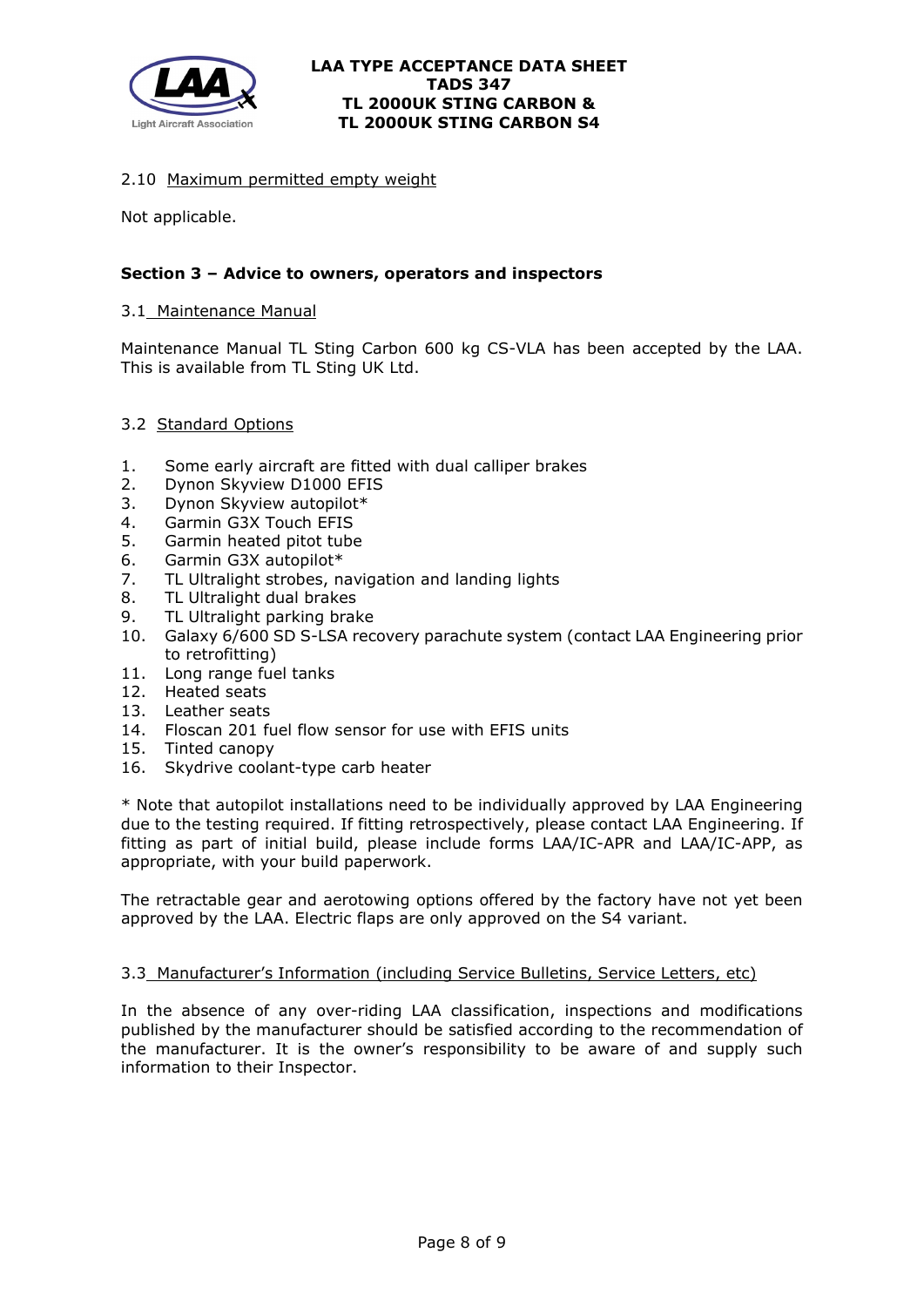

## 2.10 Maximum permitted empty weight

Not applicable.

## **Section 3 – Advice to owners, operators and inspectors**

#### 3.1 Maintenance Manual

Maintenance Manual TL Sting Carbon 600 kg CS-VLA has been accepted by the LAA. This is available from TL Sting UK Ltd.

#### 3.2 Standard Options

- 1. Some early aircraft are fitted with dual calliper brakes
- 2. Dynon Skyview D1000 EFIS
- 3. Dynon Skyview autopilot\*
- 4. Garmin G3X Touch EFIS
- 5. Garmin heated pitot tube
- 6. Garmin G3X autopilot\*
- 7. TL Ultralight strobes, navigation and landing lights
- 8. TL Ultralight dual brakes
- 9. TL Ultralight parking brake
- 10. Galaxy 6/600 SD S-LSA recovery parachute system (contact LAA Engineering prior to retrofitting)
- 11. Long range fuel tanks
- 12. Heated seats
- 13. Leather seats
- 14. Floscan 201 fuel flow sensor for use with EFIS units
- 15. Tinted canopy
- 16. Skydrive coolant-type carb heater

\* Note that autopilot installations need to be individually approved by LAA Engineering due to the testing required. If fitting retrospectively, please contact LAA Engineering. If fitting as part of initial build, please include forms LAA/IC-APR and LAA/IC-APP, as appropriate, with your build paperwork.

The retractable gear and aerotowing options offered by the factory have not yet been approved by the LAA. Electric flaps are only approved on the S4 variant.

#### 3.3 Manufacturer's Information (including Service Bulletins, Service Letters, etc)

In the absence of any over-riding LAA classification, inspections and modifications published by the manufacturer should be satisfied according to the recommendation of the manufacturer. It is the owner's responsibility to be aware of and supply such information to their Inspector.